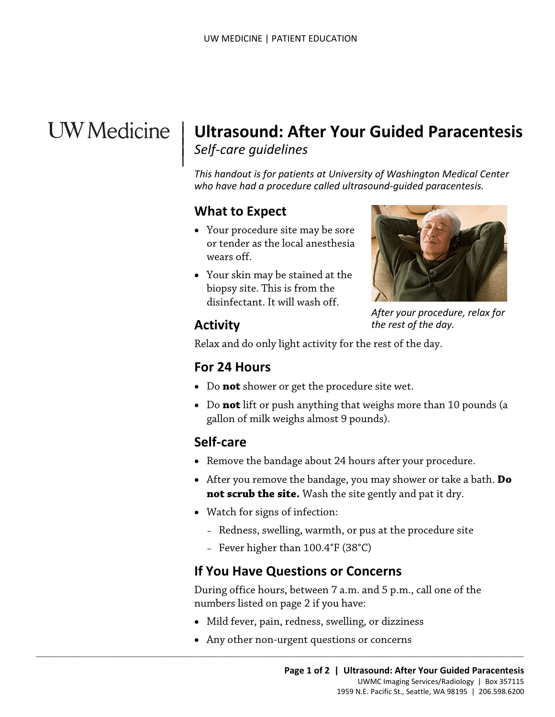# **UW** Medicine

## **Ultrasound: After Your Guided Paracentesis**  *Self-care guidelines*   $\parallel$

*This handout is for patients at University of Washington Medical Center who have had a procedure called ultrasound-guided paracentesis.* 

## **What to Expect**

- Your procedure site may be sore or tender as the local anesthesia wears off.
- Your skin may be stained at the biopsy site. This is from the disinfectant. It will wash off.



*After your procedure, relax for the rest of the day.* 

## **Activity**

 $\overline{\phantom{a}}$ 

Relax and do only light activity for the rest of the day.

## **For 24 Hours**

- Do **not** shower or get the procedure site wet.
- • Do **not** lift or push anything that weighs more than 10 pounds (a gallon of milk weighs almost 9 pounds).

## **Self-care**

- Remove the bandage about 24 hours after your procedure.
- **not scrub the site.** Wash the site gently and pat it dry. • After you remove the bandage, you may shower or take a bath. **Do**
- Watch for signs of infection:
	- Redness, swelling, warmth, or pus at the procedure site
	- Fever higher than 100.4°F (38°C)

## **If You Have Questions or Concerns**

During office hours, between 7 a.m. and 5 p.m., call one of the numbers listed on page 2 if you have:

- Mild fever, pain, redness, swelling, or dizziness
- Any other non-urgent questions or concerns

 $\_$  ,  $\_$  ,  $\_$  ,  $\_$  ,  $\_$  ,  $\_$  ,  $\_$  ,  $\_$  ,  $\_$  ,  $\_$  ,  $\_$  ,  $\_$  ,  $\_$  ,  $\_$  ,  $\_$  ,  $\_$  ,  $\_$  ,  $\_$  ,  $\_$  ,  $\_$  ,  $\_$  ,  $\_$  ,  $\_$  ,  $\_$  ,  $\_$  ,  $\_$  ,  $\_$  ,  $\_$  ,  $\_$  ,  $\_$  ,  $\_$  ,  $\_$  ,  $\_$  ,  $\_$  ,  $\_$  ,  $\_$  ,  $\_$  ,